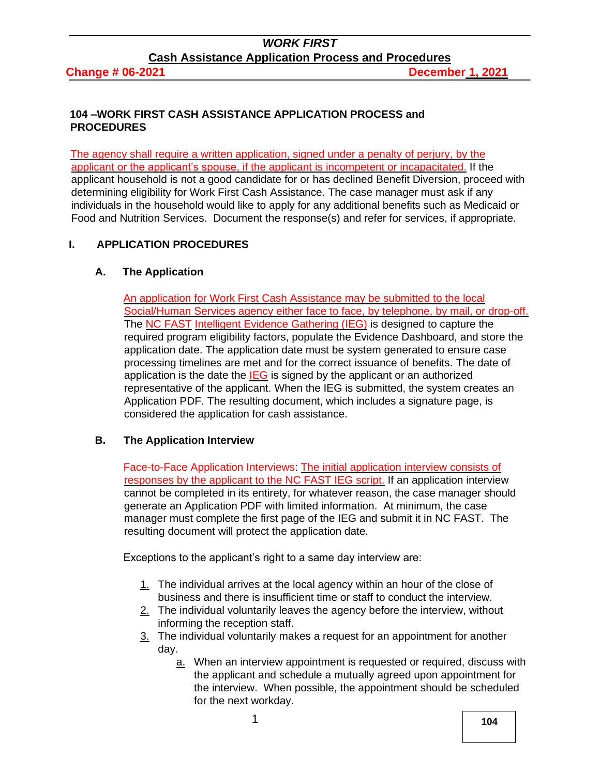**Change # 06-2021 December 1, 2021** 

#### **104 –WORK FIRST CASH ASSISTANCE APPLICATION PROCESS and PROCEDURES**

The agency shall require a written application, signed under a penalty of perjury, by the applicant or the applicant's spouse, if the applicant is incompetent or incapacitated. If the applicant household is not a good candidate for or has declined Benefit Diversion, proceed with determining eligibility for Work First Cash Assistance. The case manager must ask if any individuals in the household would like to apply for any additional benefits such as Medicaid or Food and Nutrition Services. Document the response(s) and refer for services, if appropriate.

## **I. APPLICATION PROCEDURES**

## **A. The Application**

An application for Work First Cash Assistance may be submitted to the local Social/Human Services agency either face to face, by telephone, by mail, or drop-off. The NC FAST Intelligent Evidence Gathering (IEG) is designed to capture the required program eligibility factors, populate the Evidence Dashboard, and store the application date. The application date must be system generated to ensure case processing timelines are met and for the correct issuance of benefits. The date of application is the date the  $IEG$  is signed by the applicant or an authorized representative of the applicant. When the IEG is submitted, the system creates an Application PDF. The resulting document, which includes a signature page, is considered the application for cash assistance.

## **B. The Application Interview**

Face-to-Face Application Interviews: The initial application interview consists of responses by the applicant to the NC FAST IEG script. If an application interview cannot be completed in its entirety, for whatever reason, the case manager should generate an Application PDF with limited information. At minimum, the case manager must complete the first page of the IEG and submit it in NC FAST. The resulting document will protect the application date.

Exceptions to the applicant's right to a same day interview are:

- 1. The individual arrives at the local agency within an hour of the close of business and there is insufficient time or staff to conduct the interview.
- 2. The individual voluntarily leaves the agency before the interview, without informing the reception staff.
- 3. The individual voluntarily makes a request for an appointment for another day.
	- a. When an interview appointment is requested or required, discuss with the applicant and schedule a mutually agreed upon appointment for the interview. When possible, the appointment should be scheduled for the next workday.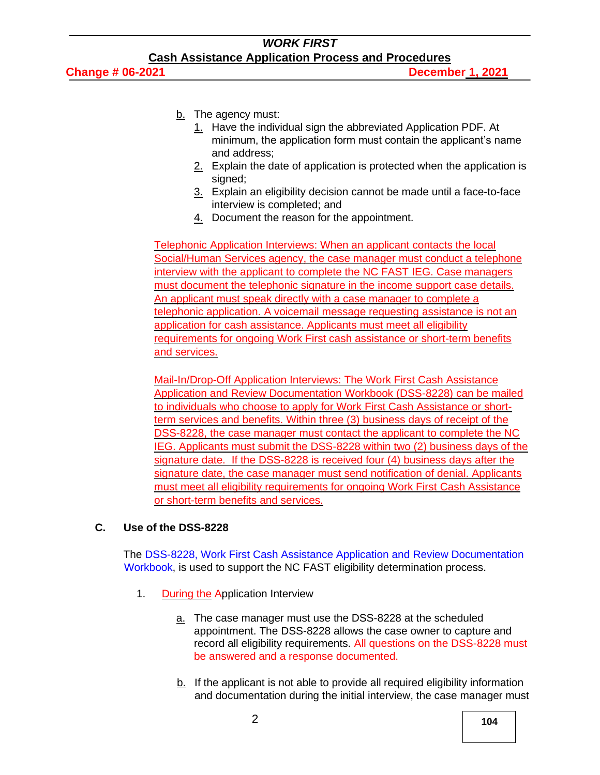- b. The agency must:
	- 1. Have the individual sign the abbreviated Application PDF. At minimum, the application form must contain the applicant's name and address;
	- 2. Explain the date of application is protected when the application is signed;
	- 3. Explain an eligibility decision cannot be made until a face-to-face interview is completed; and
	- 4. Document the reason for the appointment.

Telephonic Application Interviews: When an applicant contacts the local Social/Human Services agency, the case manager must conduct a telephone interview with the applicant to complete the NC FAST IEG. Case managers must document the telephonic signature in the income support case details. An applicant must speak directly with a case manager to complete a telephonic application. A voicemail message requesting assistance is not an application for cash assistance. Applicants must meet all eligibility requirements for ongoing Work First cash assistance or short-term benefits and services.

Mail-In/Drop-Off Application Interviews: The Work First Cash Assistance Application and Review Documentation Workbook (DSS-8228) can be mailed to individuals who choose to apply for Work First Cash Assistance or shortterm services and benefits. Within three (3) business days of receipt of the DSS-8228, the case manager must contact the applicant to complete the NC IEG. Applicants must submit the DSS-8228 within two (2) business days of the signature date. If the DSS-8228 is received four (4) business days after the signature date, the case manager must send notification of denial. Applicants must meet all eligibility requirements for ongoing Work First Cash Assistance or short-term benefits and services.

## **C. Use of the DSS-8228**

The [DSS-8228, Work First Cash Assistance Application and](https://www2.ncdhhs.gov/info/olm/forms/dss/dss-8228.pdf) [Review Documentation](https://www2.ncdhhs.gov/info/olm/forms/dss/dss-8228.pdf)  [Workbook,](https://www2.ncdhhs.gov/info/olm/forms/dss/dss-8228.pdf) is used to support the NC FAST eligibility determination process.

- 1. During the Application Interview
	- a. The case manager must use the DSS-8228 at the scheduled appointment. The DSS-8228 allows the case owner to capture and record all eligibility requirements. All questions on the DSS-8228 must be answered and a response documented.
	- $b$ . If the applicant is not able to provide all required eligibility information and documentation during the initial interview, the case manager must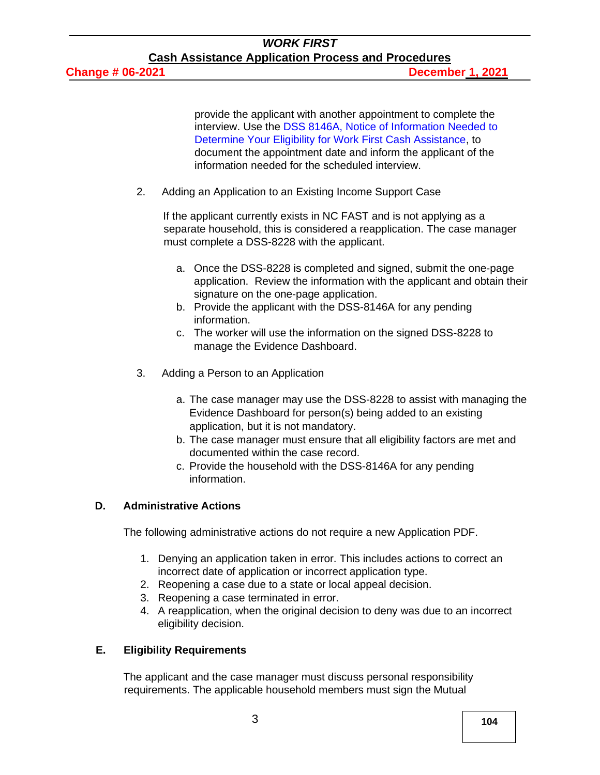provide the applicant with another appointment to complete the interview. Use the [DSS 8146A, Notice of Information Needed to](https://www2.ncdhhs.gov/info/olm/forms/dss/dss-8146A-ia.pdf)  [Determine Your](https://www2.ncdhhs.gov/info/olm/forms/dss/dss-8146A-ia.pdf) [Eligibility for Work First Cash Assistance,](https://www2.ncdhhs.gov/info/olm/forms/dss/dss-8146A-ia.pdf) to document the appointment date and inform the applicant of the information needed for the scheduled interview.

2. Adding an Application to an Existing Income Support Case

If the applicant currently exists in NC FAST and is not applying as a separate household, this is considered a reapplication. The case manager must complete a DSS-8228 with the applicant.

- a. Once the DSS-8228 is completed and signed, submit the one-page application. Review the information with the applicant and obtain their signature on the one-page application.
- b. Provide the applicant with the DSS-8146A for any pending information.
- c. The worker will use the information on the signed DSS-8228 to manage the Evidence Dashboard.
- 3. Adding a Person to an Application
	- a. The case manager may use the DSS-8228 to assist with managing the Evidence Dashboard for person(s) being added to an existing application, but it is not mandatory.
	- b. The case manager must ensure that all eligibility factors are met and documented within the case record.
	- c. Provide the household with the DSS-8146A for any pending information.

## **D. Administrative Actions**

The following administrative actions do not require a new Application PDF.

- 1. Denying an application taken in error. This includes actions to correct an incorrect date of application or incorrect application type.
- 2. Reopening a case due to a state or local appeal decision.
- 3. Reopening a case terminated in error.
- 4. A reapplication, when the original decision to deny was due to an incorrect eligibility decision.

## **E. Eligibility Requirements**

The applicant and the case manager must discuss personal responsibility requirements. The applicable household members must sign the Mutual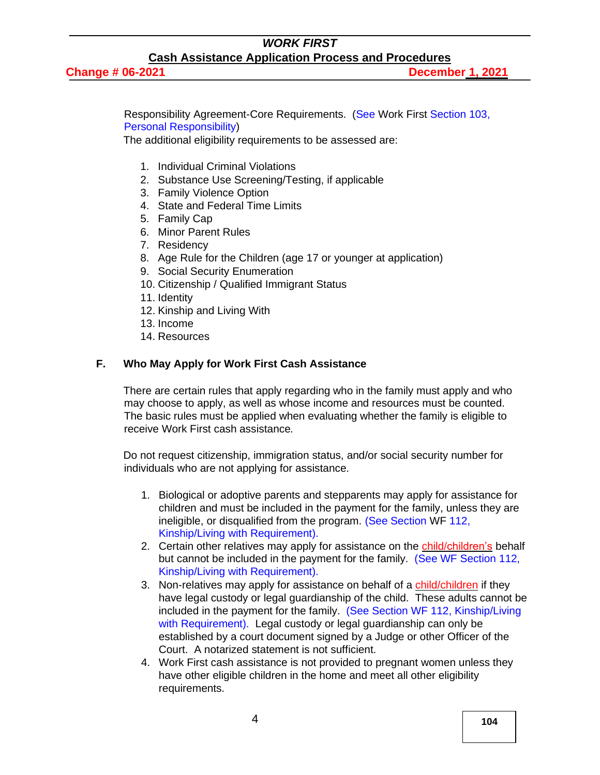Responsibility Agreement-Core Requirements. [\(See Work First](http://info.dhhs.state.nc.us/olm/manuals/dss/csm-95/man/WF103.htm) [Section 103,](http://info.dhhs.state.nc.us/olm/manuals/dss/csm-95/man/WF103.htm)  [Personal Responsibility\)](http://info.dhhs.state.nc.us/olm/manuals/dss/csm-95/man/WF103.htm)

The additional eligibility requirements to be assessed are:

- 1. Individual Criminal Violations
- 2. Substance Use Screening/Testing, if applicable
- 3. Family Violence Option
- 4. State and Federal Time Limits
- 5. Family Cap
- 6. Minor Parent Rules
- 7. Residency
- 8. Age Rule for the Children (age 17 or younger at application)
- 9. Social Security Enumeration
- 10. Citizenship / Qualified Immigrant Status
- 11. Identity
- 12. Kinship and Living With
- 13. Income
- 14. Resources

#### **F. Who May Apply for Work First Cash Assistance**

There are certain rules that apply regarding who in the family must apply and who may choose to apply, as well as whose income and resources must be counted. The basic rules must be applied when evaluating whether the family is eligible to receive Work First cash assistance*.*

Do not request citizenship, immigration status, and/or social security number for individuals who are not applying for assistance.

- 1. Biological or adoptive parents and stepparents may apply for assistance for children and must be included in the payment for the family, unless they are ineligible, or disqualified from the program. [\(See Section WF 112,](http://info.dhhs.state.nc.us/olm/manuals/dss/csm-95/man/WF112.htm#TopOfPage) [Kinship/Living with Requirement\).](http://info.dhhs.state.nc.us/olm/manuals/dss/csm-95/man/WF112.htm#TopOfPage)
- 2. Certain other relatives may apply for assistance on the child/children's behalf but cannot be included in the payment for the family. [\(See WF](http://info.dhhs.state.nc.us/olm/manuals/dss/csm-95/man/WF112.htm#TopOfPage) [Section 112,](http://info.dhhs.state.nc.us/olm/manuals/dss/csm-95/man/WF112.htm#TopOfPage)  [Kinship/Living with Requirement\).](http://info.dhhs.state.nc.us/olm/manuals/dss/csm-95/man/WF112.htm#TopOfPage)
- 3. Non-relatives may apply for assistance on behalf of a child/children if they have legal custody or legal guardianship of the child. These adults cannot be included in the payment for the family. [\(See Section WF 112, Kinship/Living](http://info.dhhs.state.nc.us/olm/manuals/dss/csm-95/man/WF112.htm#TopOfPage)  [with](http://info.dhhs.state.nc.us/olm/manuals/dss/csm-95/man/WF112.htm#TopOfPage) [Requirement\).](http://info.dhhs.state.nc.us/olm/manuals/dss/csm-95/man/WF112.htm#TopOfPage) Legal custody or legal guardianship can only be established by a court document signed by a Judge or other Officer of the Court. A notarized statement is not sufficient.
- 4. Work First cash assistance is not provided to pregnant women unless they have other eligible children in the home and meet all other eligibility requirements.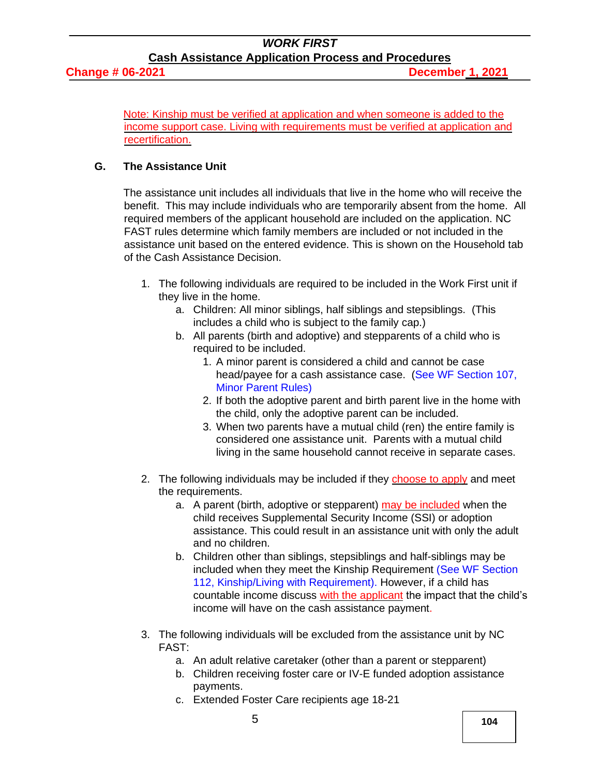## **Change # 06-2021 December 1, 2021**

Note: Kinship must be verified at application and when someone is added to the income support case. Living with requirements must be verified at application and recertification.

## **G. The Assistance Unit**

The assistance unit includes all individuals that live in the home who will receive the benefit. This may include individuals who are temporarily absent from the home. All required members of the applicant household are included on the application. NC FAST rules determine which family members are included or not included in the assistance unit based on the entered evidence. This is shown on the Household tab of the Cash Assistance Decision.

- 1. The following individuals are required to be included in the Work First unit if they live in the home.
	- a. Children: All minor siblings, half siblings and stepsiblings. (This includes a child who is subject to the family cap.)
	- b. All parents (birth and adoptive) and stepparents of a child who is required to be included.
		- 1. A minor parent is considered a child and cannot be case head/payee for a cash assistance case. (See WF Section 107, [Minor Parent Rules\)](http://info.dhhs.state.nc.us/olm/manuals/dss/csm-95/man/WF107.htm)
		- 2. If both the adoptive parent and birth parent live in the home with the child, only the adoptive parent can be included.
		- 3. When two parents have a mutual child (ren) the entire family is considered one assistance unit. Parents with a mutual child living in the same household cannot receive in separate cases.
- 2. The following individuals may be included if they choose to apply and meet the requirements.
	- a. A parent (birth, adoptive or stepparent) may be included when the child receives Supplemental Security Income (SSI) or adoption assistance. This could result in an assistance unit with only the adult and no children.
	- b. Children other than siblings, stepsiblings and half-siblings may be included when they meet the Kinship Requiremen[t](http://info.dhhs.state.nc.us/olm/manuals/dss/csm-95/man/WF112.htm#TopOfPage) [\(See WF Section](http://info.dhhs.state.nc.us/olm/manuals/dss/csm-95/man/WF112.htm#TopOfPage)  [112, Kinship/Living with Requirement\).](http://info.dhhs.state.nc.us/olm/manuals/dss/csm-95/man/WF112.htm#TopOfPage) However, if a child has countable income discuss with the applicant the impact that the child's income will have on the cash assistance payment.
- 3. The following individuals will be excluded from the assistance unit by NC FAST:
	- a. An adult relative caretaker (other than a parent or stepparent)
	- b. Children receiving foster care or IV-E funded adoption assistance payments.
	- c. Extended Foster Care recipients age 18-21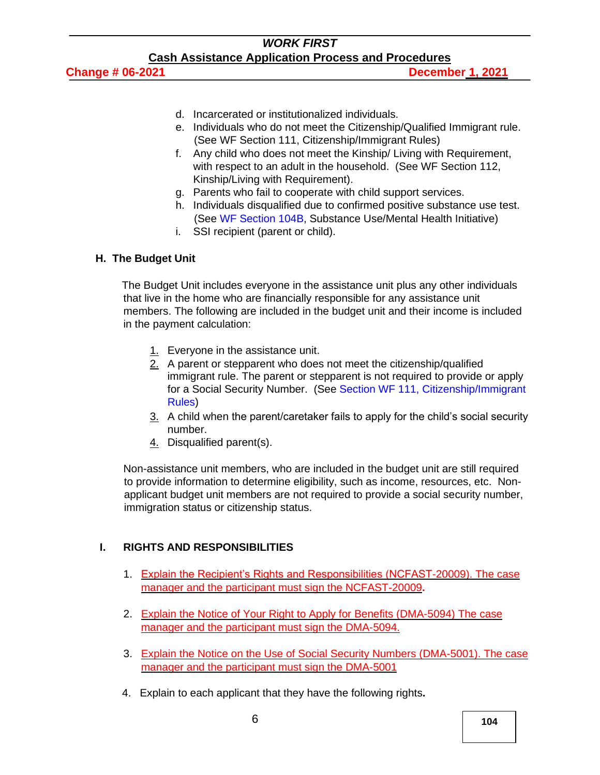- d. Incarcerated or institutionalized individuals.
- e. Individuals who do not meet the Citizenship/Qualified Immigrant rule. (See WF [Section 111, Citizenship/Immigrant Rules\)](http://info.dhhs.state.nc.us/olm/manuals/dss/csm-95/man/WF111.htm)
- f. Any child who does not meet the Kinship/ Living with Requirement, with respect to an adult in the household. [\(See WF Section 112,](http://info.dhhs.state.nc.us/olm/manuals/dss/csm-95/man/WF112.htm#TopOfPage)  [Kinship/Living with Requirement\).](http://info.dhhs.state.nc.us/olm/manuals/dss/csm-95/man/WF112.htm#TopOfPage)
- g. Parents who fail to cooperate with child support services.
- h. Individuals disqualified due to confirmed positive substance use test. (See [WF Section 104B,](https://www2.ncdhhs.gov/info/olm/manuals/dss/csm-95/man/WF104B.pdf) Substance Use/Mental Health Initiative)
- i. SSI recipient (parent or child).

#### **H. The Budget Unit**

The Budget Unit includes everyone in the assistance unit plus any other individuals that live in the home who are financially responsible for any assistance unit members. The following are included in the budget unit and their income is included in the payment calculation:

- 1. Everyone in the assistance unit.
- 2. A parent or stepparent who does not meet the citizenship/qualified immigrant rule. The parent or stepparent is not required to provide or apply for a Social Security Number. (See [Section WF 111, Citizenship/Immigrant](http://info.dhhs.state.nc.us/olm/manuals/dss/csm-95/man/WF111.htm)  [Rules\)](http://info.dhhs.state.nc.us/olm/manuals/dss/csm-95/man/WF111.htm)
- 3. A child when the parent/caretaker fails to apply for the child's social security number.
- 4. Disqualified parent(s).

Non-assistance unit members, who are included in the budget unit are still required to provide information to determine eligibility, such as income, resources, etc. Nonapplicant budget unit members are not required to provide a social security number, immigration status or citizenship status.

## **I. RIGHTS AND RESPONSIBILITIES**

- 1. Explain the Recipient's Rights and Responsibilities (NCFAST-20009). The case manager and the participant must sign the NCFAST-20009**.**
- 2. Explain the Notice of Your Right to Apply for Benefits (DMA-5094) The case manager and the participant must sign the DMA-5094.
- 3. Explain the Notice on the Use of Social Security Numbers (DMA-5001). The case manager and the participant must sign the DMA-5001
- 4. Explain to each applicant that they have the following rights**.**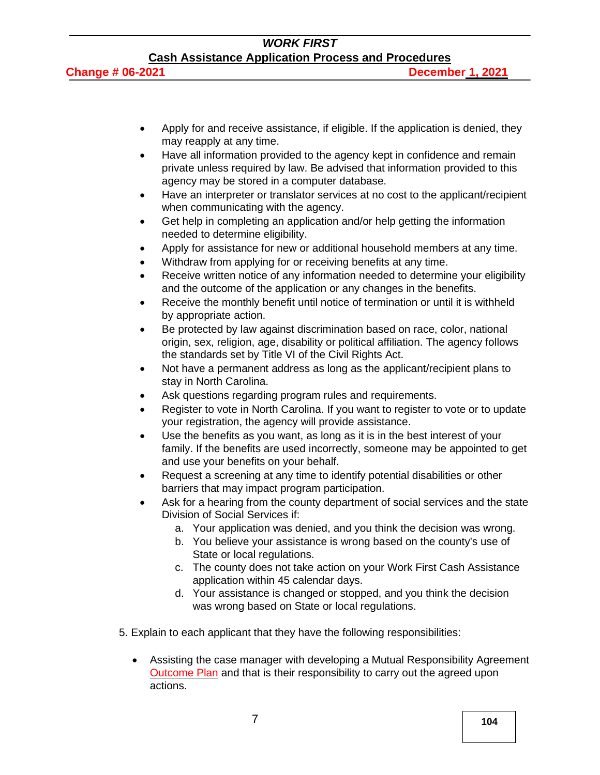- Apply for and receive assistance, if eligible. If the application is denied, they may reapply at any time.
- Have all information provided to the agency kept in confidence and remain private unless required by law. Be advised that information provided to this agency may be stored in a computer database.
- Have an interpreter or translator services at no cost to the applicant/recipient when communicating with the agency.
- Get help in completing an application and/or help getting the information needed to determine eligibility.
- Apply for assistance for new or additional household members at any time.
- Withdraw from applying for or receiving benefits at any time.
- Receive written notice of any information needed to determine your eligibility and the outcome of the application or any changes in the benefits.
- Receive the monthly benefit until notice of termination or until it is withheld by appropriate action.
- Be protected by law against discrimination based on race, color, national origin, sex, religion, age, disability or political affiliation. The agency follows the standards set by Title VI of the Civil Rights Act.
- Not have a permanent address as long as the applicant/recipient plans to stay in North Carolina.
- Ask questions regarding program rules and requirements.
- Register to vote in North Carolina. If you want to register to vote or to update your registration, the agency will provide assistance.
- Use the benefits as you want, as long as it is in the best interest of your family. If the benefits are used incorrectly, someone may be appointed to get and use your benefits on your behalf.
- Request a screening at any time to identify potential disabilities or other barriers that may impact program participation.
- Ask for a hearing from the county department of social services and the state Division of Social Services if:
	- a. Your application was denied, and you think the decision was wrong.
	- b. You believe your assistance is wrong based on the county's use of State or local regulations.
	- c. The county does not take action on your Work First Cash Assistance application within 45 calendar days.
	- d. Your assistance is changed or stopped, and you think the decision was wrong based on State or local regulations.
- 5. Explain to each applicant that they have the following responsibilities:
	- Assisting the case manager with developing a Mutual Responsibility Agreement Outcome Plan and that is their responsibility to carry out the agreed upon actions.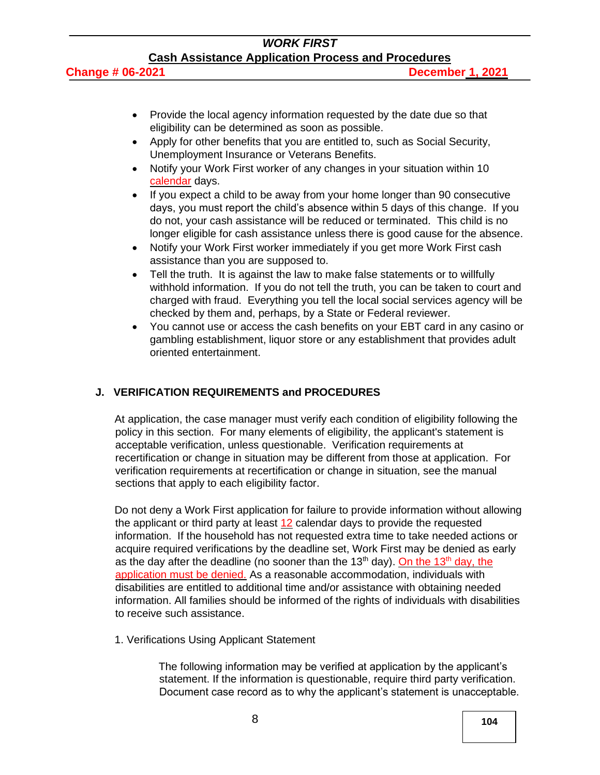#### **Change # 06-2021 December 1, 2021**

- Provide the local agency information requested by the date due so that eligibility can be determined as soon as possible.
- Apply for other benefits that you are entitled to, such as Social Security, Unemployment Insurance or Veterans Benefits.
- Notify your Work First worker of any changes in your situation within 10 calendar days.
- If you expect a child to be away from your home longer than 90 consecutive days, you must report the child's absence within 5 days of this change. If you do not, your cash assistance will be reduced or terminated. This child is no longer eligible for cash assistance unless there is good cause for the absence.
- Notify your Work First worker immediately if you get more Work First cash assistance than you are supposed to.
- Tell the truth. It is against the law to make false statements or to willfully withhold information. If you do not tell the truth, you can be taken to court and charged with fraud. Everything you tell the local social services agency will be checked by them and, perhaps, by a State or Federal reviewer.
- You cannot use or access the cash benefits on your EBT card in any casino or gambling establishment, liquor store or any establishment that provides adult oriented entertainment.

## **J. VERIFICATION REQUIREMENTS and PROCEDURES**

At application, the case manager must verify each condition of eligibility following the policy in this section. For many elements of eligibility, the applicant's statement is acceptable verification, unless questionable. Verification requirements at recertification or change in situation may be different from those at application. For verification requirements at recertification or change in situation, see the manual sections that apply to each eligibility factor.

Do not deny a Work First application for failure to provide information without allowing the applicant or third party at least 12 calendar days to provide the requested information. If the household has not requested extra time to take needed actions or acquire required verifications by the deadline set, Work First may be denied as early as the day after the deadline (no sooner than the 13<sup>th</sup> day). On the 13<sup>th</sup> day, the application must be denied. As a reasonable accommodation, individuals with disabilities are entitled to additional time and/or assistance with obtaining needed information. All families should be informed of the rights of individuals with disabilities to receive such assistance.

1. Verifications Using Applicant Statement

The following information may be verified at application by the applicant's statement. If the information is questionable, require third party verification. Document case record as to why the applicant's statement is unacceptable.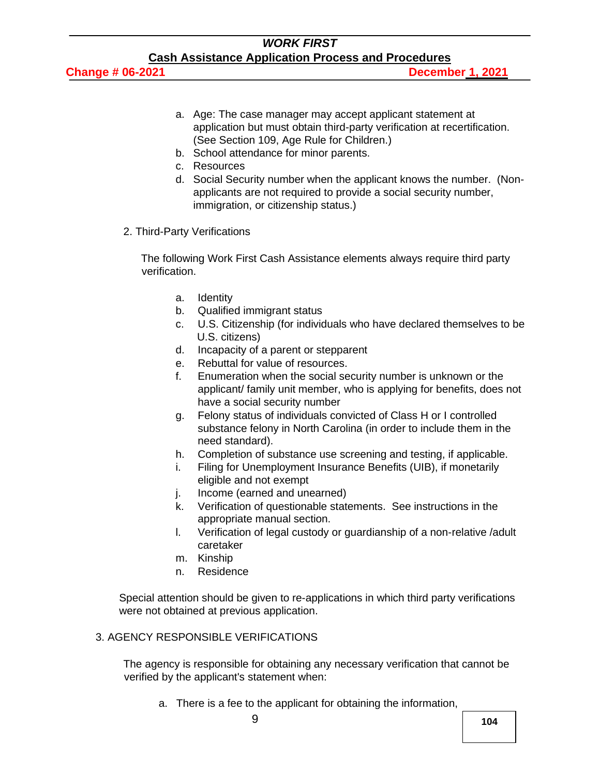**Change # 06-2021 December 1, 2021**

- a. Age: The case manager may accept applicant statement at application but must obtain third-party verification at recertification. [\(See Section 109, Age Rule for Children.\)](http://info.dhhs.state.nc.us/olm/manuals/dss/csm-95/man/WF109.htm)
- b. School attendance for minor parents.
- c. Resources
- d. Social Security number when the applicant knows the number. (Nonapplicants are not required to provide a social security number, immigration, or citizenship status.)
- 2. Third-Party Verifications

The following Work First Cash Assistance elements always require third party verification.

- a. Identity
- b. Qualified immigrant status
- c. U.S. Citizenship (for individuals who have declared themselves to be U.S. citizens)
- d. Incapacity of a parent or stepparent
- e. Rebuttal for value of resources.
- f. Enumeration when the social security number is unknown or the applicant/ family unit member, who is applying for benefits, does not have a social security number
- g. Felony status of individuals convicted of Class H or I controlled substance felony in North Carolina (in order to include them in the need standard).
- h. Completion of substance use screening and testing, if applicable.
- i. Filing for Unemployment Insurance Benefits (UIB), if monetarily eligible and not exempt
- j. Income (earned and unearned)
- k. Verification of questionable statements. See instructions in the appropriate manual section.
- l. Verification of legal custody or guardianship of a non-relative /adult caretaker
- m. Kinship
- n. Residence

Special attention should be given to re-applications in which third party verifications were not obtained at previous application.

## 3. AGENCY RESPONSIBLE VERIFICATIONS

The agency is responsible for obtaining any necessary verification that cannot be verified by the applicant's statement when:

a. There is a fee to the applicant for obtaining the information,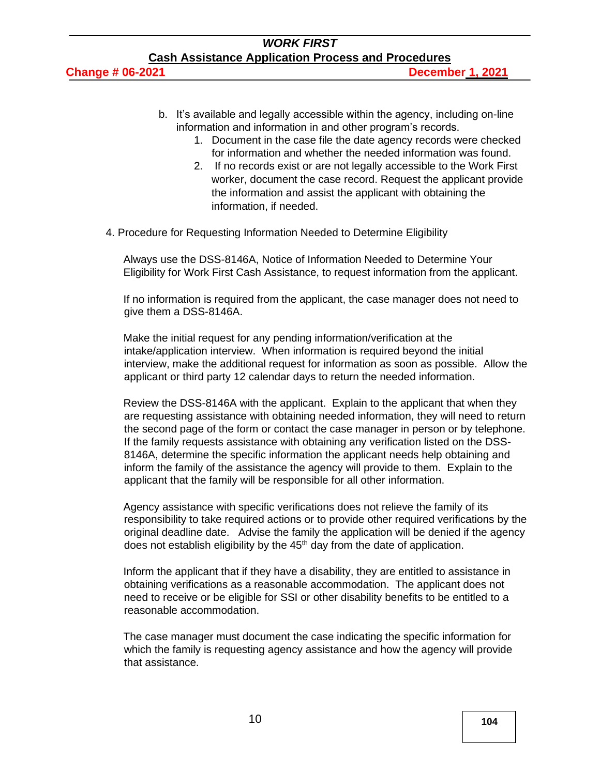- b. It's available and legally accessible within the agency, including on-line information and information in and other program's records.
	- 1. Document in the case file the date agency records were checked for information and whether the needed information was found.
	- 2. If no records exist or are not legally accessible to the Work First worker, document the case record. Request the applicant provide the information and assist the applicant with obtaining the information, if needed.
- 4. Procedure for Requesting Information Needed to Determine Eligibility

Always use the [DSS-8146A,](http://info.dhhs.state.nc.us/olm/forms/dss/dss-8146A-ia.pdf) Notice of Information Needed to Determine Your Eligibility for Work First Cash Assistance, to request information from the applicant.

If no information is required from the applicant, the case manager does not need to give them a DSS-8146A.

Make the initial request for any pending information/verification at the intake/application interview. When information is required beyond the initial interview, make the additional request for information as soon as possible. Allow the applicant or third party 12 calendar days to return the needed information.

Review the DSS-8146A with the applicant. Explain to the applicant that when they are requesting assistance with obtaining needed information, they will need to return the second page of the form or contact the case manager in person or by telephone. If the family requests assistance with obtaining any verification listed on the DSS-8146A, determine the specific information the applicant needs help obtaining and inform the family of the assistance the agency will provide to them. Explain to the applicant that the family will be responsible for all other information.

Agency assistance with specific verifications does not relieve the family of its responsibility to take required actions or to provide other required verifications by the original deadline date. Advise the family the application will be denied if the agency does not establish eligibility by the  $45<sup>th</sup>$  day from the date of application.

Inform the applicant that if they have a disability, they are entitled to assistance in obtaining verifications as a reasonable accommodation. The applicant does not need to receive or be eligible for SSI or other disability benefits to be entitled to a reasonable accommodation.

The case manager must document the case indicating the specific information for which the family is requesting agency assistance and how the agency will provide that assistance.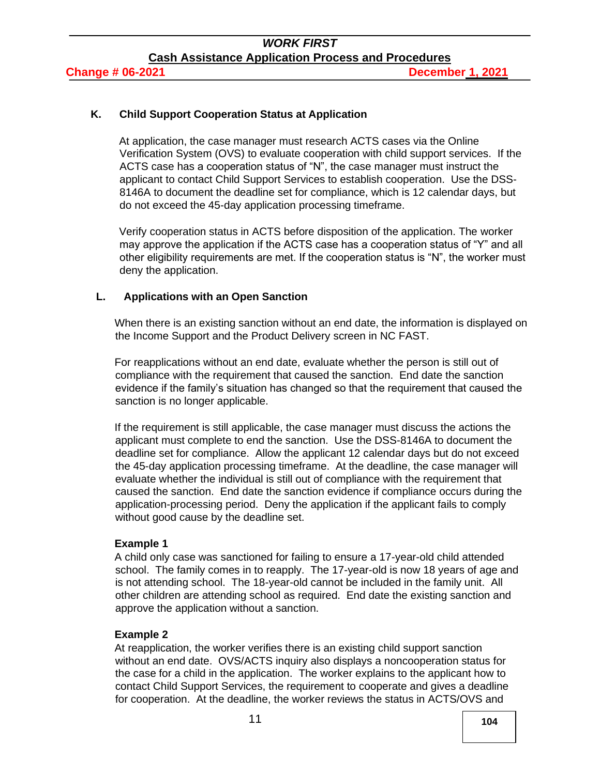#### **K. Child Support Cooperation Status at Application**

At application, the case manager must research ACTS cases via the Online Verification System (OVS) to evaluate cooperation with child support services. If the ACTS case has a cooperation status of "N", the case manager must instruct the applicant to contact Child Support Services to establish cooperation. Use the DSS-8146A to document the deadline set for compliance, which is 12 calendar days, but do not exceed the 45-day application processing timeframe.

Verify cooperation status in ACTS before disposition of the application. The worker may approve the application if the ACTS case has a cooperation status of "Y" and all other eligibility requirements are met. If the cooperation status is "N", the worker must deny the application.

#### **L. Applications with an Open Sanction**

When there is an existing sanction without an end date, the information is displayed on the Income Support and the Product Delivery screen in NC FAST.

For reapplications without an end date, evaluate whether the person is still out of compliance with the requirement that caused the sanction. End date the sanction evidence if the family's situation has changed so that the requirement that caused the sanction is no longer applicable.

If the requirement is still applicable, the case manager must discuss the actions the applicant must complete to end the sanction. Use the DSS-8146A to document the deadline set for compliance. Allow the applicant 12 calendar days but do not exceed the 45-day application processing timeframe. At the deadline, the case manager will evaluate whether the individual is still out of compliance with the requirement that caused the sanction. End date the sanction evidence if compliance occurs during the application-processing period. Deny the application if the applicant fails to comply without good cause by the deadline set.

#### **Example 1**

A child only case was sanctioned for failing to ensure a 17-year-old child attended school. The family comes in to reapply. The 17-year-old is now 18 years of age and is not attending school. The 18-year-old cannot be included in the family unit. All other children are attending school as required. End date the existing sanction and approve the application without a sanction.

#### **Example 2**

At reapplication, the worker verifies there is an existing child support sanction without an end date. OVS/ACTS inquiry also displays a noncooperation status for the case for a child in the application. The worker explains to the applicant how to contact Child Support Services, the requirement to cooperate and gives a deadline for cooperation. At the deadline, the worker reviews the status in ACTS/OVS and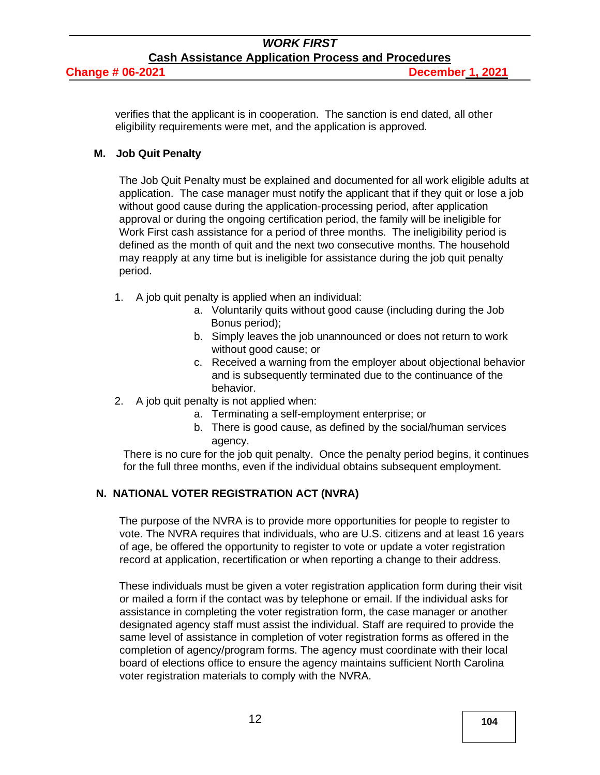#### *WORK FIRST* **Cash Assistance Application Process and Procedures Change # 06-2021 December 1, 2021**

verifies that the applicant is in cooperation. The sanction is end dated, all other eligibility requirements were met, and the application is approved.

#### **M. Job Quit Penalty**

The Job Quit Penalty must be explained and documented for all work eligible adults at application. The case manager must notify the applicant that if they quit or lose a job without good cause during the application-processing period, after application approval or during the ongoing certification period, the family will be ineligible for Work First cash assistance for a period of three months. The ineligibility period is defined as the month of quit and the next two consecutive months. The household may reapply at any time but is ineligible for assistance during the job quit penalty period.

- 1. A job quit penalty is applied when an individual:
	- a. Voluntarily quits without good cause (including during the Job Bonus period);
	- b. Simply leaves the job unannounced or does not return to work without good cause; or
	- c. Received a warning from the employer about objectional behavior and is subsequently terminated due to the continuance of the behavior.
- 2. A job quit penalty is not applied when:
	- a. Terminating a self-employment enterprise; or
	- b. There is good cause, as defined by the social/human services agency.

There is no cure for the job quit penalty. Once the penalty period begins, it continues for the full three months, even if the individual obtains subsequent employment.

## **N. NATIONAL VOTER REGISTRATION ACT (NVRA)**

The purpose of the NVRA is to provide more opportunities for people to register to vote. The NVRA requires that individuals, who are U.S. citizens and at least 16 years of age, be offered the opportunity to register to vote or update a voter registration record at application, recertification or when reporting a change to their address.

These individuals must be given a voter registration application form during their visit or mailed a form if the contact was by telephone or email. If the individual asks for assistance in completing the voter registration form, the case manager or another designated agency staff must assist the individual. Staff are required to provide the same level of assistance in completion of voter registration forms as offered in the completion of agency/program forms. The agency must coordinate with their local board of elections office to ensure the agency maintains sufficient North Carolina voter registration materials to comply with the NVRA.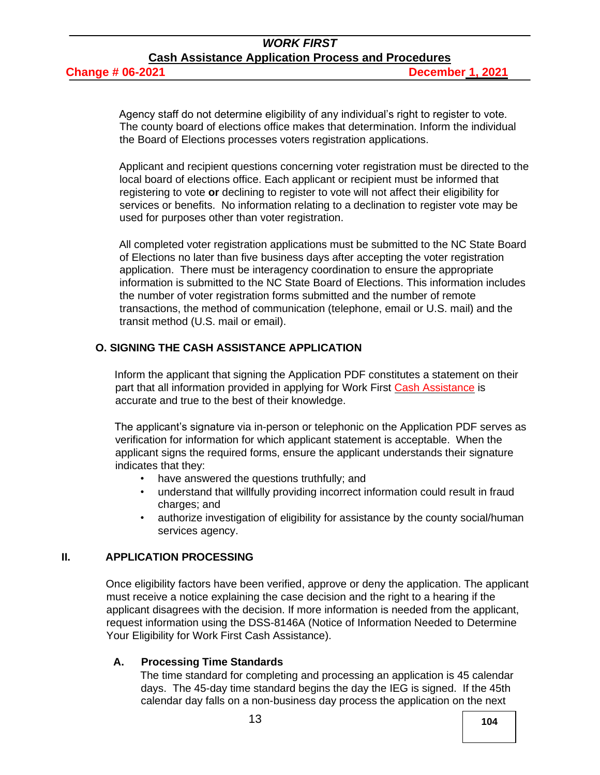Agency staff do not determine eligibility of any individual's right to register to vote. The county board of elections office makes that determination. Inform the individual the Board of Elections processes voters registration applications.

Applicant and recipient questions concerning voter registration must be directed to the local board of elections office. Each applicant or recipient must be informed that registering to vote **or** declining to register to vote will not affect their eligibility for services or benefits. No information relating to a declination to register vote may be used for purposes other than voter registration.

All completed voter registration applications must be submitted to the NC State Board of Elections no later than five business days after accepting the voter registration application. There must be interagency coordination to ensure the appropriate information is submitted to the NC State Board of Elections. This information includes the number of voter registration forms submitted and the number of remote transactions, the method of communication (telephone, email or U.S. mail) and the transit method (U.S. mail or email).

#### **O. SIGNING THE CASH ASSISTANCE APPLICATION**

Inform the applicant that signing the Application PDF constitutes a statement on their part that all information provided in applying for Work First Cash Assistance is accurate and true to the best of their knowledge.

The applicant's signature via in-person or telephonic on the Application PDF serves as verification for information for which applicant statement is acceptable. When the applicant signs the required forms, ensure the applicant understands their signature indicates that they:

- have answered the questions truthfully; and
- understand that willfully providing incorrect information could result in fraud charges; and
- authorize investigation of eligibility for assistance by the county social/human services agency.

#### **II. APPLICATION PROCESSING**

Once eligibility factors have been verified, approve or deny the application. The applicant must receive a notice explaining the case decision and the right to a hearing if the applicant disagrees with the decision. If more information is needed from the applicant, request information using the [DSS-8146A](http://info.dhhs.state.nc.us/olm/forms/dss/dss-8146A-ia.pdf) (Notice of Information Needed to Determine Your Eligibility for Work First Cash Assistance).

#### **A. Processing Time Standards**

The time standard for completing and processing an application is 45 calendar days. The 45-day time standard begins the day the IEG is signed. If the 45th calendar day falls on a non-business day process the application on the next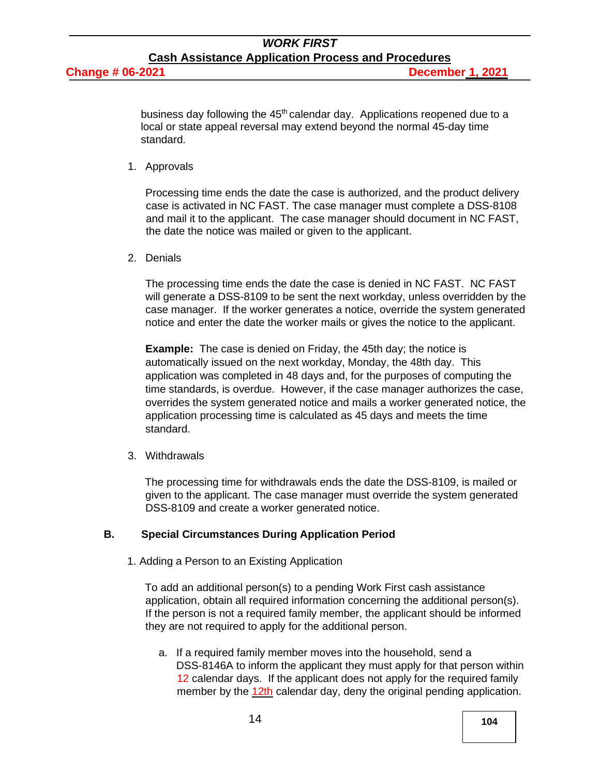business day following the 45<sup>th</sup> calendar day. Applications reopened due to a local or state appeal reversal may extend beyond the normal 45-day time standard.

1. Approvals

Processing time ends the date the case is authorized, and the product delivery case is activated in NC FAST. The case manager must complete a DSS-8108 and mail it to the applicant. The case manager should document in NC FAST, the date the notice was mailed or given to the applicant.

2. Denials

The processing time ends the date the case is denied in NC FAST. NC FAST will generate a DSS-8109 to be sent the next workday, unless overridden by the case manager. If the worker generates a notice, override the system generated notice and enter the date the worker mails or gives the notice to the applicant.

**Example:** The case is denied on Friday, the 45th day; the notice is automatically issued on the next workday, Monday, the 48th day. This application was completed in 48 days and, for the purposes of computing the time standards, is overdue. However, if the case manager authorizes the case, overrides the system generated notice and mails a worker generated notice, the application processing time is calculated as 45 days and meets the time standard.

3. Withdrawals

The processing time for withdrawals ends the date the DSS-8109, is mailed or given to the applicant. The case manager must override the system generated DSS-8109 and create a worker generated notice.

## **B. Special Circumstances During Application Period**

1. Adding a Person to an Existing Application

To add an additional person(s) to a pending Work First cash assistance application, obtain all required information concerning the additional person(s). If the person is not a required family member, the applicant should be informed they are not required to apply for the additional person.

a. If a required family member moves into the household, send a [DSS-8146A](http://info.dhhs.state.nc.us/olm/forms/dss/dss-8146A-ia.pdf) to inform the applicant they must apply for that person within 12 calendar days. If the applicant does not apply for the required family member by the 12th calendar day, deny the original pending application.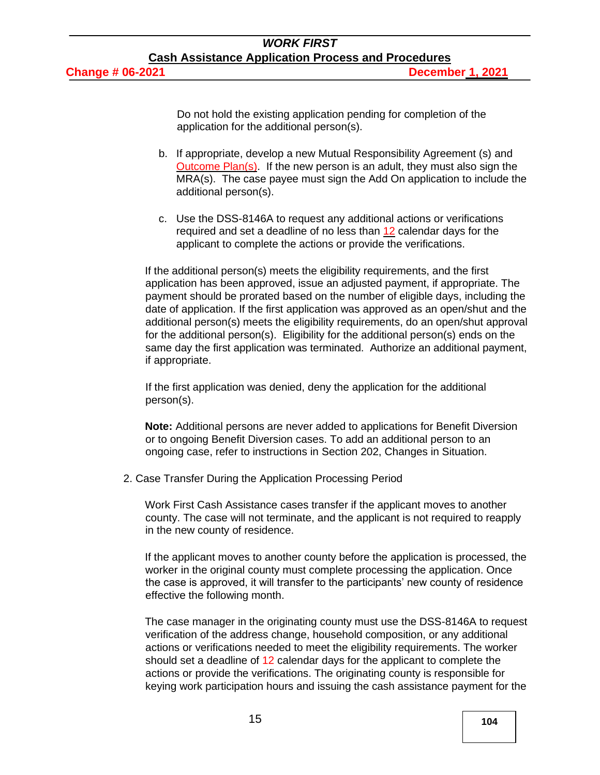Do not hold the existing application pending for completion of the application for the additional person(s).

- b. If appropriate, develop a new Mutual Responsibility Agreement (s) and Outcome Plan(s). If the new person is an adult, they must also sign the MRA(s). The case payee must sign the Add On application to include the additional person(s).
- c. Use the DSS-8146A to request any additional actions or verifications required and set a deadline of no less than 12 calendar days for the applicant to complete the actions or provide the verifications.

If the additional person(s) meets the eligibility requirements, and the first application has been approved, issue an adjusted payment, if appropriate. The payment should be prorated based on the number of eligible days, including the date of application. If the first application was approved as an open/shut and the additional person(s) meets the eligibility requirements, do an open/shut approval for the additional person(s). Eligibility for the additional person(s) ends on the same day the first application was terminated. Authorize an additional payment, if appropriate.

If the first application was denied, deny the application for the additional person(s).

**Note:** Additional persons are never added to applications for Benefit Diversion or to ongoing Benefit Diversion cases. To add an additional person to an ongoing case, refer to instructions in [Section 202, Changes in Situation.](http://info.dhhs.state.nc.us/olm/manuals/dss/csm-95/man/WF202.htm)

2. Case Transfer During the Application Processing Period

Work First Cash Assistance cases transfer if the applicant moves to another county. The case will not terminate, and the applicant is not required to reapply in the new county of residence.

If the applicant moves to another county before the application is processed, the worker in the original county must complete processing the application. Once the case is approved, it will transfer to the participants' new county of residence effective the following month.

The case manager in the originating county must use the DSS-8146A to request verification of the address change, household composition, or any additional actions or verifications needed to meet the eligibility requirements. The worker should set a deadline of 12 calendar days for the applicant to complete the actions or provide the verifications. The originating county is responsible for keying work participation hours and issuing the cash assistance payment for the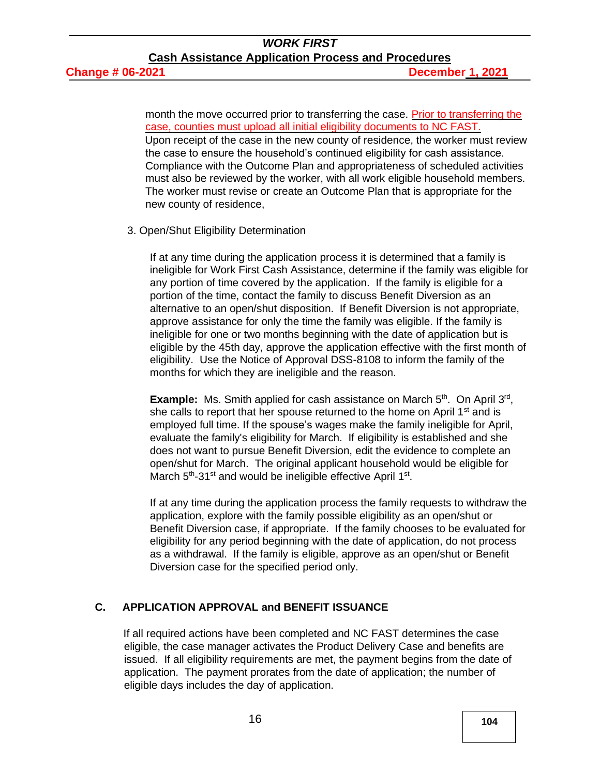month the move occurred prior to transferring the case. Prior to transferring the case, counties must upload all initial eligibility documents to NC FAST. Upon receipt of the case in the new county of residence, the worker must review the case to ensure the household's continued eligibility for cash assistance. Compliance with the Outcome Plan and appropriateness of scheduled activities must also be reviewed by the worker, with all work eligible household members. The worker must revise or create an Outcome Plan that is appropriate for the new county of residence,

#### 3. Open/Shut Eligibility Determination

If at any time during the application process it is determined that a family is ineligible for Work First Cash Assistance, determine if the family was eligible for any portion of time covered by the application. If the family is eligible for a portion of the time, contact the family to discuss Benefit Diversion as an alternative to an open/shut disposition. If Benefit Diversion is not appropriate, approve assistance for only the time the family was eligible. If the family is ineligible for one or two months beginning with the date of application but is eligible by the 45th day, approve the application effective with the first month of eligibility. Use the Notice of Approval DSS-8108 to inform the family of the months for which they are ineligible and the reason.

Example: Ms. Smith applied for cash assistance on March 5<sup>th</sup>. On April 3<sup>rd</sup>, she calls to report that her spouse returned to the home on April 1<sup>st</sup> and is employed full time. If the spouse's wages make the family ineligible for April, evaluate the family's eligibility for March. If eligibility is established and she does not want to pursue Benefit Diversion, edit the evidence to complete an open/shut for March. The original applicant household would be eligible for March 5<sup>th</sup>-31<sup>st</sup> and would be ineligible effective April 1<sup>st</sup>.

If at any time during the application process the family requests to withdraw the application, explore with the family possible eligibility as an open/shut or Benefit Diversion case, if appropriate. If the family chooses to be evaluated for eligibility for any period beginning with the date of application, do not process as a withdrawal. If the family is eligible, approve as an open/shut or Benefit Diversion case for the specified period only.

## **C. APPLICATION APPROVAL and BENEFIT ISSUANCE**

If all required actions have been completed and NC FAST determines the case eligible, the case manager activates the Product Delivery Case and benefits are issued. If all eligibility requirements are met, the payment begins from the date of application. The payment prorates from the date of application; the number of eligible days includes the day of application.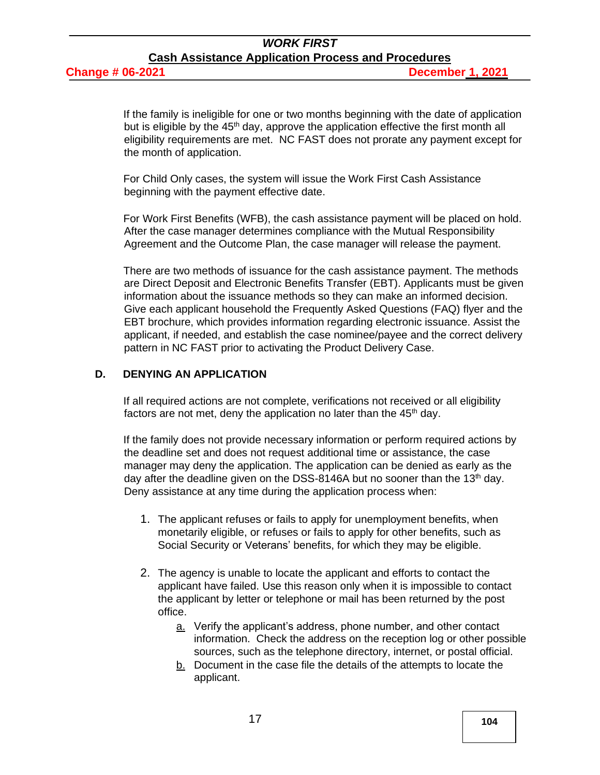**Change # 06-2021 December 1, 2021**

If the family is ineligible for one or two months beginning with the date of application but is eligible by the  $45<sup>th</sup>$  day, approve the application effective the first month all eligibility requirements are met. NC FAST does not prorate any payment except for the month of application.

For Child Only cases, the system will issue the Work First Cash Assistance beginning with the payment effective date.

For Work First Benefits (WFB), the cash assistance payment will be placed on hold. After the case manager determines compliance with the Mutual Responsibility Agreement and the Outcome Plan, the case manager will release the payment.

There are two methods of issuance for the cash assistance payment. The methods are Direct Deposit and Electronic Benefits Transfer (EBT). Applicants must be given information about the issuance methods so they can make an informed decision. Give each applicant household the [Frequently Asked Questions \(FAQ\)](https://www2.ncdhhs.gov/dss/workfirst/docs/FAQ%20about%20Electronic%20Benefit%20Issuance%201-31-17.pdf) flyer and the EBT brochure, which provides information regarding electronic issuance. Assist the applicant, if needed, and establish the case nominee/payee and the correct delivery pattern in NC FAST prior to activating the Product Delivery Case.

#### **D. DENYING AN APPLICATION**

If all required actions are not complete, verifications not received or all eligibility factors are not met, deny the application no later than the  $45<sup>th</sup>$  day.

If the family does not provide necessary information or perform required actions by the deadline set and does not request additional time or assistance, the case manager may deny the application. The application can be denied as early as the day after the deadline given on the DSS-8146A but no sooner than the 13<sup>th</sup> day. Deny assistance at any time during the application process when:

- 1. The applicant refuses or fails to apply for unemployment benefits, when monetarily eligible, or refuses or fails to apply for other benefits, such as Social Security or Veterans' benefits, for which they may be eligible.
- 2. The agency is unable to locate the applicant and efforts to contact the applicant have failed. Use this reason only when it is impossible to contact the applicant by letter or telephone or mail has been returned by the post office.
	- a. Verify the applicant's address, phone number, and other contact information. Check the address on the reception log or other possible sources, such as the telephone directory, internet, or postal official.
	- b. Document in the case file the details of the attempts to locate the applicant.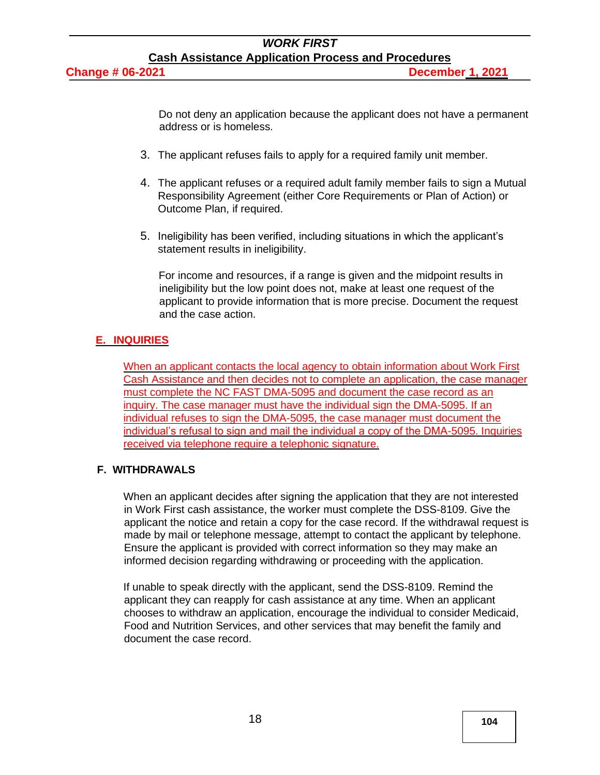Do not deny an application because the applicant does not have a permanent address or is homeless.

- 3. The applicant refuses fails to apply for a required family unit member.
- 4. The applicant refuses or a required adult family member fails to sign a Mutual Responsibility Agreement (either Core Requirements or Plan of Action) or Outcome Plan, if required.
- 5. Ineligibility has been verified, including situations in which the applicant's statement results in ineligibility.

For income and resources, if a range is given and the midpoint results in ineligibility but the low point does not, make at least one request of the applicant to provide information that is more precise. Document the request and the case action.

## **E. INQUIRIES**

When an applicant contacts the local agency to obtain information about Work First Cash Assistance and then decides not to complete an application, the case manager must complete the NC FAST DMA-5095 and document the case record as an inquiry. The case manager must have the individual sign the DMA-5095. If an individual refuses to sign the DMA-5095, the case manager must document the individual's refusal to sign and mail the individual a copy of the DMA-5095. Inquiries received via telephone require a telephonic signature.

## **F. WITHDRAWALS**

When an applicant decides after signing the application that they are not interested in Work First cash assistance, the worker must complete the DSS-8109. Give the applicant the notice and retain a copy for the case record. If the withdrawal request is made by mail or telephone message, attempt to contact the applicant by telephone. Ensure the applicant is provided with correct information so they may make an informed decision regarding withdrawing or proceeding with the application.

If unable to speak directly with the applicant, send the DSS-8109. Remind the applicant they can reapply for cash assistance at any time. When an applicant chooses to withdraw an application, encourage the individual to consider Medicaid, Food and Nutrition Services, and other services that may benefit the family and document the case record.